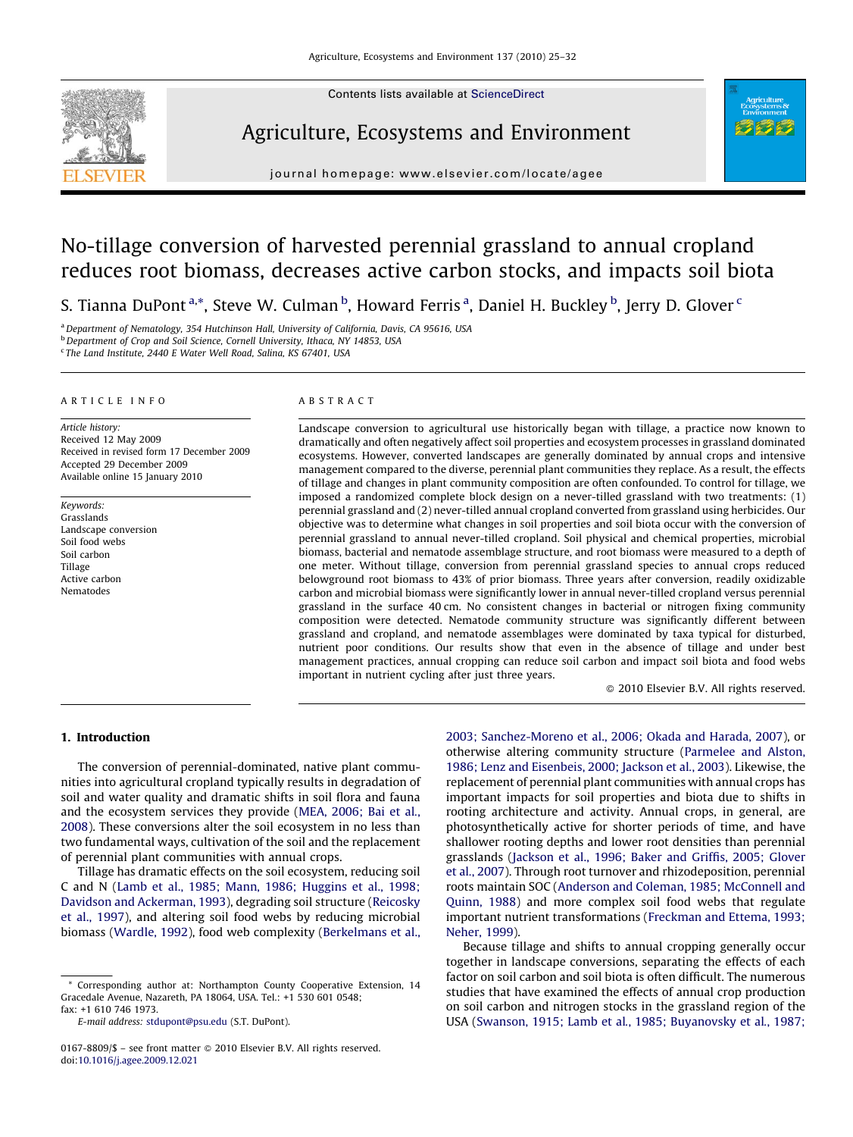

Contents lists available at [ScienceDirect](http://www.sciencedirect.com/science/journal/01678809)

## Agriculture, Ecosystems and Environment



journal homepage: www.elsevier.com/locate/agee

# No-tillage conversion of harvested perennial grassland to annual cropland reduces root biomass, decreases active carbon stocks, and impacts soil biota

S. Tianna DuPont <sup>a,\*</sup>, Steve W. Culman <sup>b</sup>, Howard Ferris <sup>a</sup>, Daniel H. Buckley <sup>b</sup>, Jerry D. Glover <sup>c</sup>

<sup>a</sup> Department of Nematology, 354 Hutchinson Hall, University of California, Davis, CA 95616, USA

b Department of Crop and Soil Science, Cornell University, Ithaca, NY 14853, USA <sup>c</sup> The Land Institute, 2440 E Water Well Road, Salina, KS 67401, USA

## ARTICLE INFO

Article history: Received 12 May 2009 Received in revised form 17 December 2009 Accepted 29 December 2009 Available online 15 January 2010

Keywords: Grasslands Landscape conversion Soil food webs Soil carbon Tillage Active carbon Nematodes

## ABSTRACT

Landscape conversion to agricultural use historically began with tillage, a practice now known to dramatically and often negatively affect soil properties and ecosystem processes in grassland dominated ecosystems. However, converted landscapes are generally dominated by annual crops and intensive management compared to the diverse, perennial plant communities they replace. As a result, the effects of tillage and changes in plant community composition are often confounded. To control for tillage, we imposed a randomized complete block design on a never-tilled grassland with two treatments: (1) perennial grassland and (2) never-tilled annual cropland converted from grassland using herbicides. Our objective was to determine what changes in soil properties and soil biota occur with the conversion of perennial grassland to annual never-tilled cropland. Soil physical and chemical properties, microbial biomass, bacterial and nematode assemblage structure, and root biomass were measured to a depth of one meter. Without tillage, conversion from perennial grassland species to annual crops reduced belowground root biomass to 43% of prior biomass. Three years after conversion, readily oxidizable carbon and microbial biomass were significantly lower in annual never-tilled cropland versus perennial grassland in the surface 40 cm. No consistent changes in bacterial or nitrogen fixing community composition were detected. Nematode community structure was significantly different between grassland and cropland, and nematode assemblages were dominated by taxa typical for disturbed, nutrient poor conditions. Our results show that even in the absence of tillage and under best management practices, annual cropping can reduce soil carbon and impact soil biota and food webs important in nutrient cycling after just three years.

 $\odot$  2010 Elsevier B.V. All rights reserved.

## 1. Introduction

The conversion of perennial-dominated, native plant communities into agricultural cropland typically results in degradation of soil and water quality and dramatic shifts in soil flora and fauna and the ecosystem services they provide ([MEA, 2006; Bai et al](#page-7-0)., [2008\)](#page-7-0). These conversions alter the soil ecosystem in no less than two fundamental ways, cultivation of the soil and the replacement of perennial plant communities with annual crops.

Tillage has dramatic effects on the soil ecosystem, reducing soil C and N ([Lamb et al., 1985; Mann, 1986; Huggins et al., 1998;](#page-7-0) [Davidson and Ackerman, 1993\)](#page-7-0), degrading soil structure [\(Reicosky](#page-7-0) [et al., 1997](#page-7-0)), and altering soil food webs by reducing microbial biomass ([Wardle, 1992](#page-7-0)), food web complexity ([Berkelmans et al.,](#page-6-0) [2003; Sanchez-Moreno et al., 2006; Okada and Harada, 2007\)](#page-6-0), or otherwise altering community structure [\(Parmelee and Alston,](#page-7-0) [1986; Lenz and Eisenbeis, 2000; Jackson et al](#page-7-0)., 2003). Likewise, the replacement of perennial plant communities with annual crops has important impacts for soil properties and biota due to shifts in rooting architecture and activity. Annual crops, in general, are photosynthetically active for shorter periods of time, and have shallower rooting depths and lower root densities than perennial grasslands [\(Jackson et al., 1996; Baker and Griffis, 2005; Glover](#page-7-0) et al.[, 2007\)](#page-7-0). Through root turnover and rhizodeposition, perennial roots maintain SOC ([Anderson and Coleman, 1985; McConnell and](#page-6-0) [Quinn, 1988\)](#page-6-0) and more complex soil food webs that regulate important nutrient transformations ([Freckman and Ettema, 1993;](#page-6-0) [Neher, 1999\)](#page-6-0).

Because tillage and shifts to annual cropping generally occur together in landscape conversions, separating the effects of each factor on soil carbon and soil biota is often difficult. The numerous studies that have examined the effects of annual crop production on soil carbon and nitrogen stocks in the grassland region of the USA [\(Swanson, 1915; Lamb et al](#page-7-0)., 1985; Buyanovsky et al., 1987;

Corresponding author at: Northampton County Cooperative Extension, 14 Gracedale Avenue, Nazareth, PA 18064, USA. Tel.: +1 530 601 0548; fax: +1 610 746 1973.

E-mail address: [stdupont@psu.edu](mailto:stdupont@psu.edu) (S.T. DuPont).

<sup>0167-8809/\$ –</sup> see front matter © 2010 Elsevier B.V. All rights reserved. doi:[10.1016/j.agee.2009.12.021](http://dx.doi.org/10.1016/j.agee.2009.12.021)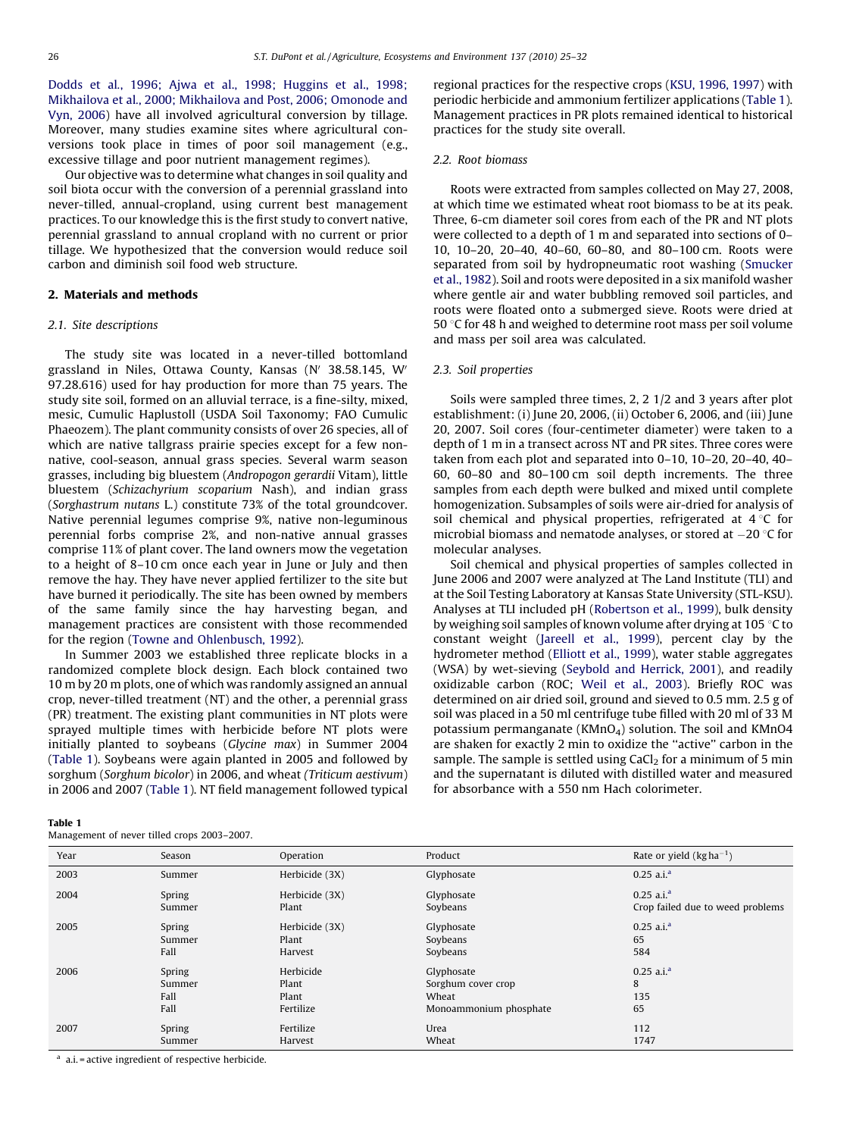Dodds et al.[, 1996; Ajwa et al., 1998; Huggins et al., 1998;](#page-7-0) Mikhailova et al.[, 2000; Mikhailova and Post, 2006; Omonode and](#page-7-0) [Vyn, 2006\)](#page-7-0) have all involved agricultural conversion by tillage. Moreover, many studies examine sites where agricultural conversions took place in times of poor soil management (e.g., excessive tillage and poor nutrient management regimes).

Our objective was to determine what changes in soil quality and soil biota occur with the conversion of a perennial grassland into never-tilled, annual-cropland, using current best management practices. To our knowledge this is the first study to convert native, perennial grassland to annual cropland with no current or prior tillage. We hypothesized that the conversion would reduce soil carbon and diminish soil food web structure.

## 2. Materials and methods

## 2.1. Site descriptions

The study site was located in a never-tilled bottomland grassland in Niles, Ottawa County, Kansas (N' 38.58.145, W' 97.28.616) used for hay production for more than 75 years. The study site soil, formed on an alluvial terrace, is a fine-silty, mixed, mesic, Cumulic Haplustoll (USDA Soil Taxonomy; FAO Cumulic Phaeozem). The plant community consists of over 26 species, all of which are native tallgrass prairie species except for a few nonnative, cool-season, annual grass species. Several warm season grasses, including big bluestem (Andropogon gerardii Vitam), little bluestem (Schizachyrium scoparium Nash), and indian grass (Sorghastrum nutans L.) constitute 73% of the total groundcover. Native perennial legumes comprise 9%, native non-leguminous perennial forbs comprise 2%, and non-native annual grasses comprise 11% of plant cover. The land owners mow the vegetation to a height of 8–10 cm once each year in June or July and then remove the hay. They have never applied fertilizer to the site but have burned it periodically. The site has been owned by members of the same family since the hay harvesting began, and management practices are consistent with those recommended for the region ([Towne and Ohlenbusch, 1992](#page-7-0)).

In Summer 2003 we established three replicate blocks in a randomized complete block design. Each block contained two 10 m by 20 m plots, one of which was randomly assigned an annual crop, never-tilled treatment (NT) and the other, a perennial grass (PR) treatment. The existing plant communities in NT plots were sprayed multiple times with herbicide before NT plots were initially planted to soybeans (Glycine max) in Summer 2004 (Table 1). Soybeans were again planted in 2005 and followed by sorghum (Sorghum bicolor) in 2006, and wheat (Triticum aestivum) in 2006 and 2007 (Table 1). NT field management followed typical

#### Table 1

Management of never tilled crops 2003–2007.

regional practices for the respective crops ([KSU, 1996, 1997\)](#page-7-0) with periodic herbicide and ammonium fertilizer applications (Table 1). Management practices in PR plots remained identical to historical practices for the study site overall.

## 2.2. Root biomass

Roots were extracted from samples collected on May 27, 2008, at which time we estimated wheat root biomass to be at its peak. Three, 6-cm diameter soil cores from each of the PR and NT plots were collected to a depth of 1 m and separated into sections of 0– 10, 10–20, 20–40, 40–60, 60–80, and 80–100 cm. Roots were separated from soil by hydropneumatic root washing ([Smucker](#page-7-0) [et al., 1982](#page-7-0)). Soil and roots were deposited in a six manifold washer where gentle air and water bubbling removed soil particles, and roots were floated onto a submerged sieve. Roots were dried at 50  $\degree$ C for 48 h and weighed to determine root mass per soil volume and mass per soil area was calculated.

## 2.3. Soil properties

Soils were sampled three times, 2, 2 1/2 and 3 years after plot establishment: (i) June 20, 2006, (ii) October 6, 2006, and (iii) June 20, 2007. Soil cores (four-centimeter diameter) were taken to a depth of 1 m in a transect across NT and PR sites. Three cores were taken from each plot and separated into 0–10, 10–20, 20–40, 40– 60, 60–80 and 80–100 cm soil depth increments. The three samples from each depth were bulked and mixed until complete homogenization. Subsamples of soils were air-dried for analysis of soil chemical and physical properties, refrigerated at  $4^{\circ}$ C for microbial biomass and nematode analyses, or stored at  $-20$  °C for molecular analyses.

Soil chemical and physical properties of samples collected in June 2006 and 2007 were analyzed at The Land Institute (TLI) and at the Soil Testing Laboratory at Kansas State University (STL-KSU). Analyses at TLI included pH [\(Robertson et al., 1999\)](#page-7-0), bulk density by weighing soil samples of known volume after drying at 105  $\degree$ C to constant weight ([Jareell et al., 1999\)](#page-7-0), percent clay by the hydrometer method [\(Elliott et al., 1999\)](#page-6-0), water stable aggregates (WSA) by wet-sieving ([Seybold and Herrick, 2001\)](#page-7-0), and readily oxidizable carbon (ROC; [Weil et al., 2003\)](#page-7-0). Briefly ROC was determined on air dried soil, ground and sieved to 0.5 mm. 2.5 g of soil was placed in a 50 ml centrifuge tube filled with 20 ml of 33 M potassium permanganate (KMnO<sub>4</sub>) solution. The soil and KMnO4 are shaken for exactly 2 min to oxidize the ''active'' carbon in the sample. The sample is settled using  $CaCl<sub>2</sub>$  for a minimum of 5 min and the supernatant is diluted with distilled water and measured for absorbance with a 550 nm Hach colorimeter.

| Year | Season | Operation      | Product                | Rate or yield $(kgha^{-1})$      |
|------|--------|----------------|------------------------|----------------------------------|
| 2003 | Summer | Herbicide (3X) | Glyphosate             | $0.25$ a.i. <sup>a</sup>         |
| 2004 | Spring | Herbicide (3X) | Glyphosate             | $0.25$ a.i. <sup>a</sup>         |
|      | Summer | Plant          | Soybeans               | Crop failed due to weed problems |
| 2005 | Spring | Herbicide (3X) | Glyphosate             | $0.25$ a.i. <sup>a</sup>         |
|      | Summer | Plant          | Soybeans               | 65                               |
|      | Fall   | Harvest        | Soybeans               | 584                              |
| 2006 | Spring | Herbicide      | Glyphosate             | $0.25$ a.i. <sup>a</sup>         |
|      | Summer | Plant          | Sorghum cover crop     | 8                                |
|      | Fall   | Plant          | Wheat                  | 135                              |
|      | Fall   | Fertilize      | Monoammonium phosphate | 65                               |
| 2007 | Spring | Fertilize      | Urea                   | 112                              |
|      | Summer | Harvest        | Wheat                  | 1747                             |

<sup>a</sup> a.i. = active ingredient of respective herbicide.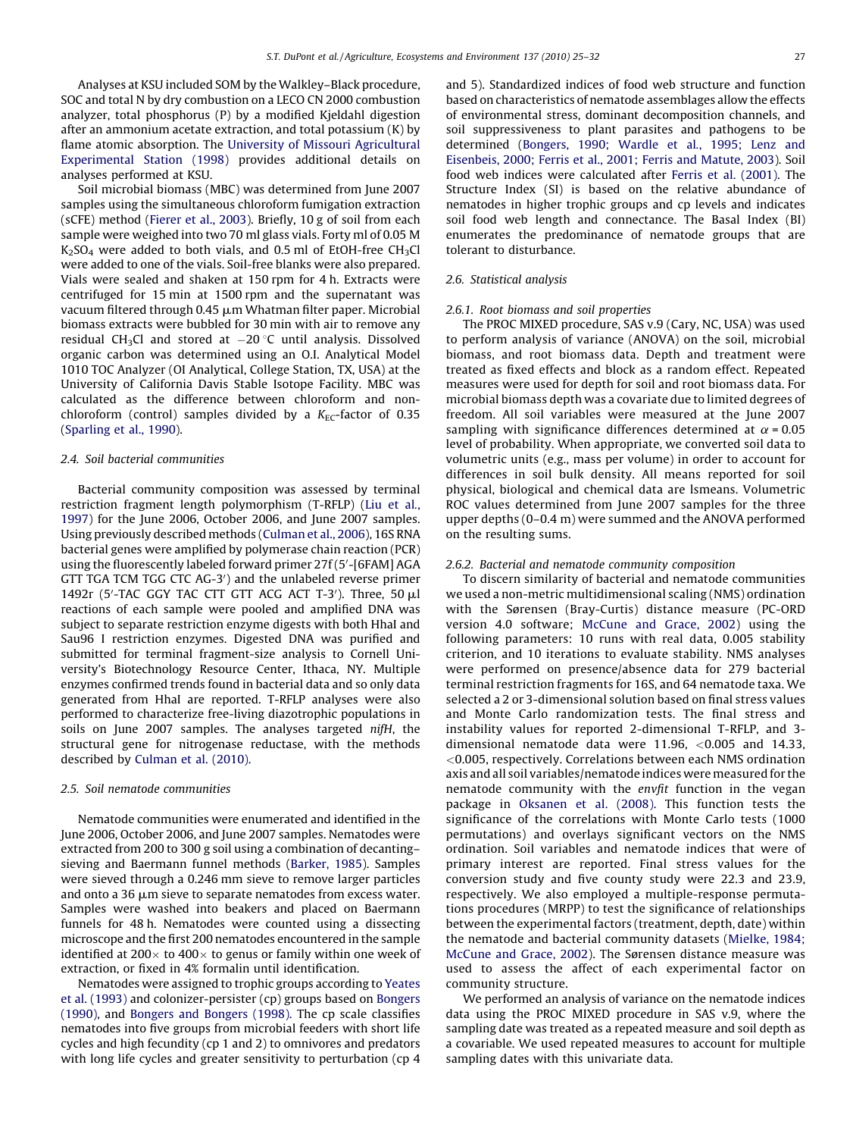Analyses at KSU included SOM by the Walkley–Black procedure, SOC and total N by dry combustion on a LECO CN 2000 combustion analyzer, total phosphorus (P) by a modified Kjeldahl digestion after an ammonium acetate extraction, and total potassium (K) by flame atomic absorption. The [University of Missouri Agricultural](#page-7-0) [Experimental Station \(1998\)](#page-7-0) provides additional details on analyses performed at KSU.

Soil microbial biomass (MBC) was determined from June 2007 samples using the simultaneous chloroform fumigation extraction (sCFE) method ([Fierer et al., 2003](#page-6-0)). Briefly, 10 g of soil from each sample were weighed into two 70 ml glass vials. Forty ml of 0.05 M  $K<sub>2</sub>SO<sub>4</sub>$  were added to both vials, and 0.5 ml of EtOH-free CH<sub>3</sub>Cl were added to one of the vials. Soil-free blanks were also prepared. Vials were sealed and shaken at 150 rpm for 4 h. Extracts were centrifuged for 15 min at 1500 rpm and the supernatant was vacuum filtered through 0.45 μm Whatman filter paper. Microbial biomass extracts were bubbled for 30 min with air to remove any residual CH<sub>3</sub>Cl and stored at  $-20\,^{\circ}$ C until analysis. Dissolved organic carbon was determined using an O.I. Analytical Model 1010 TOC Analyzer (OI Analytical, College Station, TX, USA) at the University of California Davis Stable Isotope Facility. MBC was calculated as the difference between chloroform and nonchloroform (control) samples divided by a  $K_{EC}$ -factor of 0.35 ([Sparling et al., 1990\)](#page-7-0).

## 2.4. Soil bacterial communities

Bacterial community composition was assessed by terminal restriction fragment length polymorphism (T-RFLP) [\(Liu et al](#page-7-0)., [1997\)](#page-7-0) for the June 2006, October 2006, and June 2007 samples. Using previously described methods ([Culman et al., 2006\)](#page-6-0), 16S RNA bacterial genes were amplified by polymerase chain reaction (PCR) using the fluorescently labeled forward primer 27f (5'-[6FAM] AGA GTT TGA TCM TGG CTC AG-3') and the unlabeled reverse primer 1492r (5'-TAC GGY TAC CTT GTT ACG ACT T-3'). Three, 50  $\mu$ l reactions of each sample were pooled and amplified DNA was subject to separate restriction enzyme digests with both HhaI and Sau96 I restriction enzymes. Digested DNA was purified and submitted for terminal fragment-size analysis to Cornell University's Biotechnology Resource Center, Ithaca, NY. Multiple enzymes confirmed trends found in bacterial data and so only data generated from HhaI are reported. T-RFLP analyses were also performed to characterize free-living diazotrophic populations in soils on June 2007 samples. The analyses targeted nifH, the structural gene for nitrogenase reductase, with the methods described by [Culman et al. \(2010\)](#page-6-0).

## 2.5. Soil nematode communities

Nematode communities were enumerated and identified in the June 2006, October 2006, and June 2007 samples. Nematodes were extracted from 200 to 300 g soil using a combination of decanting– sieving and Baermann funnel methods [\(Barker, 1985](#page-6-0)). Samples were sieved through a 0.246 mm sieve to remove larger particles and onto a 36  $\mu$ m sieve to separate nematodes from excess water. Samples were washed into beakers and placed on Baermann funnels for 48 h. Nematodes were counted using a dissecting microscope and the first 200 nematodes encountered in the sample identified at 200 $\times$  to 400 $\times$  to genus or family within one week of extraction, or fixed in 4% formalin until identification.

Nematodes were assigned to trophic groups according to [Yeates](#page-7-0) [et al. \(1993\)](#page-7-0) and colonizer-persister (cp) groups based on [Bongers](#page-6-0) [\(1990\),](#page-6-0) and [Bongers and Bongers \(1998\)](#page-6-0). The cp scale classifies nematodes into five groups from microbial feeders with short life cycles and high fecundity (cp 1 and 2) to omnivores and predators with long life cycles and greater sensitivity to perturbation (cp 4) and 5). Standardized indices of food web structure and function based on characteristics of nematode assemblages allow the effects of environmental stress, dominant decomposition channels, and soil suppressiveness to plant parasites and pathogens to be determined [\(Bongers, 1990; Wardle et al](#page-6-0)., 1995; Lenz and [Eisenbeis, 2000; Ferris et al., 2001; Ferris and Matute, 2003\)](#page-6-0). Soil food web indices were calculated after [Ferris et al. \(2001\)](#page-6-0). The Structure Index (SI) is based on the relative abundance of nematodes in higher trophic groups and cp levels and indicates soil food web length and connectance. The Basal Index (BI) enumerates the predominance of nematode groups that are tolerant to disturbance.

## 2.6. Statistical analysis

#### 2.6.1. Root biomass and soil properties

The PROC MIXED procedure, SAS v.9 (Cary, NC, USA) was used to perform analysis of variance (ANOVA) on the soil, microbial biomass, and root biomass data. Depth and treatment were treated as fixed effects and block as a random effect. Repeated measures were used for depth for soil and root biomass data. For microbial biomass depth was a covariate due to limited degrees of freedom. All soil variables were measured at the June 2007 sampling with significance differences determined at  $\alpha$  = 0.05 level of probability. When appropriate, we converted soil data to volumetric units (e.g., mass per volume) in order to account for differences in soil bulk density. All means reported for soil physical, biological and chemical data are lsmeans. Volumetric ROC values determined from June 2007 samples for the three upper depths (0–0.4 m) were summed and the ANOVA performed on the resulting sums.

#### 2.6.2. Bacterial and nematode community composition

To discern similarity of bacterial and nematode communities we used a non-metric multidimensional scaling (NMS) ordination with the Sørensen (Bray-Curtis) distance measure (PC-ORD version 4.0 software; [McCune and Grace, 2002](#page-7-0)) using the following parameters: 10 runs with real data, 0.005 stability criterion, and 10 iterations to evaluate stability. NMS analyses were performed on presence/absence data for 279 bacterial terminal restriction fragments for 16S, and 64 nematode taxa. We selected a 2 or 3-dimensional solution based on final stress values and Monte Carlo randomization tests. The final stress and instability values for reported 2-dimensional T-RFLP, and 3 dimensional nematode data were 11.96, <0.005 and 14.33, <0.005, respectively. Correlations between each NMS ordination axis and all soil variables/nematode indices were measured for the nematode community with the envfit function in the vegan package in [Oksanen et al. \(2008\).](#page-7-0) This function tests the significance of the correlations with Monte Carlo tests (1000 permutations) and overlays significant vectors on the NMS ordination. Soil variables and nematode indices that were of primary interest are reported. Final stress values for the conversion study and five county study were 22.3 and 23.9, respectively. We also employed a multiple-response permutations procedures (MRPP) to test the significance of relationships between the experimental factors (treatment, depth, date) within the nematode and bacterial community datasets ([Mielke, 1984;](#page-7-0) [McCune and Grace, 2002\)](#page-7-0). The Sørensen distance measure was used to assess the affect of each experimental factor on community structure.

We performed an analysis of variance on the nematode indices data using the PROC MIXED procedure in SAS v.9, where the sampling date was treated as a repeated measure and soil depth as a covariable. We used repeated measures to account for multiple sampling dates with this univariate data.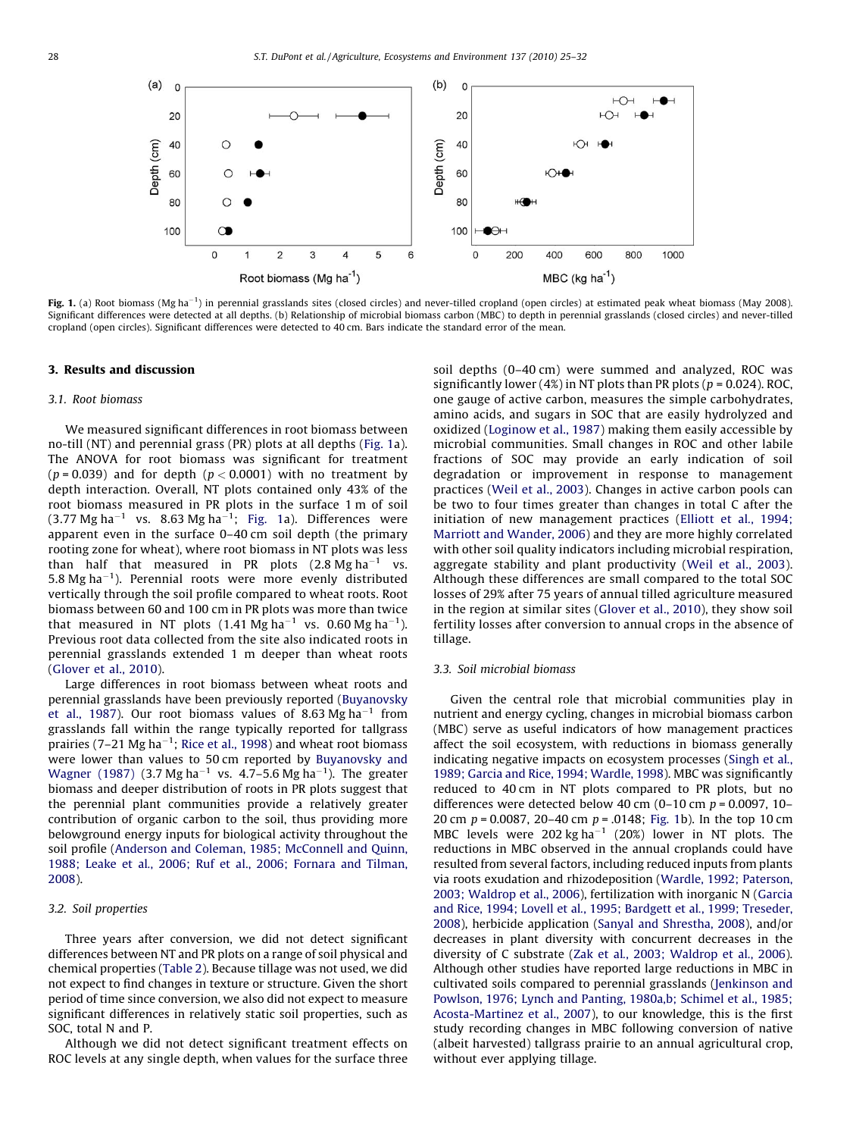

Fig. 1. (a) Root biomass (Mg ha<sup>-1</sup>) in perennial grasslands sites (closed circles) and never-tilled cropland (open circles) at estimated peak wheat biomass (May 2008). Significant differences were detected at all depths. (b) Relationship of microbial biomass carbon (MBC) to depth in perennial grasslands (closed circles) and never-tilled cropland (open circles). Significant differences were detected to 40 cm. Bars indicate the standard error of the mean.

#### 3. Results and discussion

#### 3.1. Root biomass

We measured significant differences in root biomass between no-till (NT) and perennial grass (PR) plots at all depths (Fig. 1a). The ANOVA for root biomass was significant for treatment ( $p = 0.039$ ) and for depth ( $p < 0.0001$ ) with no treatment by depth interaction. Overall, NT plots contained only 43% of the root biomass measured in PR plots in the surface 1 m of soil  $(3.77 \text{ Mg ha}^{-1}$  vs.  $8.63 \text{ Mg ha}^{-1}$ ; Fig. 1a). Differences were apparent even in the surface 0–40 cm soil depth (the primary rooting zone for wheat), where root biomass in NT plots was less than half that measured in PR plots  $(2.8 \text{ Mg ha}^{-1}$  vs. 5.8 Mg ha<sup> $-1$ </sup>). Perennial roots were more evenly distributed vertically through the soil profile compared to wheat roots. Root biomass between 60 and 100 cm in PR plots was more than twice that measured in NT plots (1.41 Mg ha<sup>-1</sup> vs. 0.60 Mg ha<sup>-1</sup>). Previous root data collected from the site also indicated roots in perennial grasslands extended 1 m deeper than wheat roots ([Glover et al., 2010\)](#page-6-0).

Large differences in root biomass between wheat roots and perennial grasslands have been previously reported ([Buyanovsky](#page-6-0) [et al., 1987](#page-6-0)). Our root biomass values of 8.63 Mg ha<sup>-1</sup> from grasslands fall within the range typically reported for tallgrass prairies (7–21 Mg ha<sup>-1</sup>; [Rice et al., 1998](#page-7-0)) and wheat root biomass were lower than values to 50 cm reported by [Buyanovsky and](#page-6-0) [Wagner \(1987\)](#page-6-0) (3.7 Mg ha<sup>-1</sup> vs. 4.7-5.6 Mg ha<sup>-1</sup>). The greater biomass and deeper distribution of roots in PR plots suggest that the perennial plant communities provide a relatively greater contribution of organic carbon to the soil, thus providing more belowground energy inputs for biological activity throughout the soil profile [\(Anderson and Coleman, 1985; McConnell and Quinn,](#page-6-0) 1988; Leake et al.[, 2006; Ruf et al., 2006; Fornara and Tilman,](#page-6-0) [2008\)](#page-6-0).

## 3.2. Soil properties

Three years after conversion, we did not detect significant differences between NT and PR plots on a range of soil physical and chemical properties ([Table 2](#page-4-0)). Because tillage was not used, we did not expect to find changes in texture or structure. Given the short period of time since conversion, we also did not expect to measure significant differences in relatively static soil properties, such as SOC, total N and P.

Although we did not detect significant treatment effects on ROC levels at any single depth, when values for the surface three soil depths (0–40 cm) were summed and analyzed, ROC was significantly lower (4%) in NT plots than PR plots ( $p = 0.024$ ). ROC, one gauge of active carbon, measures the simple carbohydrates, amino acids, and sugars in SOC that are easily hydrolyzed and oxidized [\(Loginow et al., 1987](#page-7-0)) making them easily accessible by microbial communities. Small changes in ROC and other labile fractions of SOC may provide an early indication of soil degradation or improvement in response to management practices ([Weil et al., 2003](#page-7-0)). Changes in active carbon pools can be two to four times greater than changes in total C after the initiation of new management practices [\(Elliott et al](#page-6-0)., 1994; [Marriott and Wander, 2006](#page-6-0)) and they are more highly correlated with other soil quality indicators including microbial respiration, aggregate stability and plant productivity ([Weil et al., 2003\)](#page-7-0). Although these differences are small compared to the total SOC losses of 29% after 75 years of annual tilled agriculture measured in the region at similar sites [\(Glover et al., 2010\)](#page-6-0), they show soil fertility losses after conversion to annual crops in the absence of tillage.

## 3.3. Soil microbial biomass

Given the central role that microbial communities play in nutrient and energy cycling, changes in microbial biomass carbon (MBC) serve as useful indicators of how management practices affect the soil ecosystem, with reductions in biomass generally indicating negative impacts on ecosystem processes [\(Singh et al](#page-7-0)., [1989; Garcia and Rice, 1994; Wardle, 1998\)](#page-7-0). MBC was significantly reduced to 40 cm in NT plots compared to PR plots, but no differences were detected below 40 cm  $(0-10 \text{ cm } p = 0.0097, 10-$ 20 cm  $p = 0.0087$ , 20-40 cm  $p = 0.0148$ ; Fig. 1b). In the top 10 cm MBC levels were 202 kg ha<sup>-1</sup> (20%) lower in NT plots. The reductions in MBC observed in the annual croplands could have resulted from several factors, including reduced inputs from plants via roots exudation and rhizodeposition ([Wardle, 1992; Paterson,](#page-7-0) [2003; Waldrop et al., 2006\)](#page-7-0), fertilization with inorganic N [\(Garcia](#page-6-0) [and Rice, 1994; Lovell et al](#page-6-0)., 1995; Bardgett et al., 1999; Treseder, [2008\)](#page-6-0), herbicide application ([Sanyal and Shrestha, 2008](#page-7-0)), and/or decreases in plant diversity with concurrent decreases in the diversity of C substrate (Zak et al.[, 2003; Waldrop et al](#page-7-0)., 2006). Although other studies have reported large reductions in MBC in cultivated soils compared to perennial grasslands [\(Jenkinson and](#page-7-0) [Powlson, 1976; Lynch and Panting, 1980a,b; Schimel et al., 1985;](#page-7-0) [Acosta-Martinez et al., 2007\)](#page-7-0), to our knowledge, this is the first study recording changes in MBC following conversion of native (albeit harvested) tallgrass prairie to an annual agricultural crop, without ever applying tillage.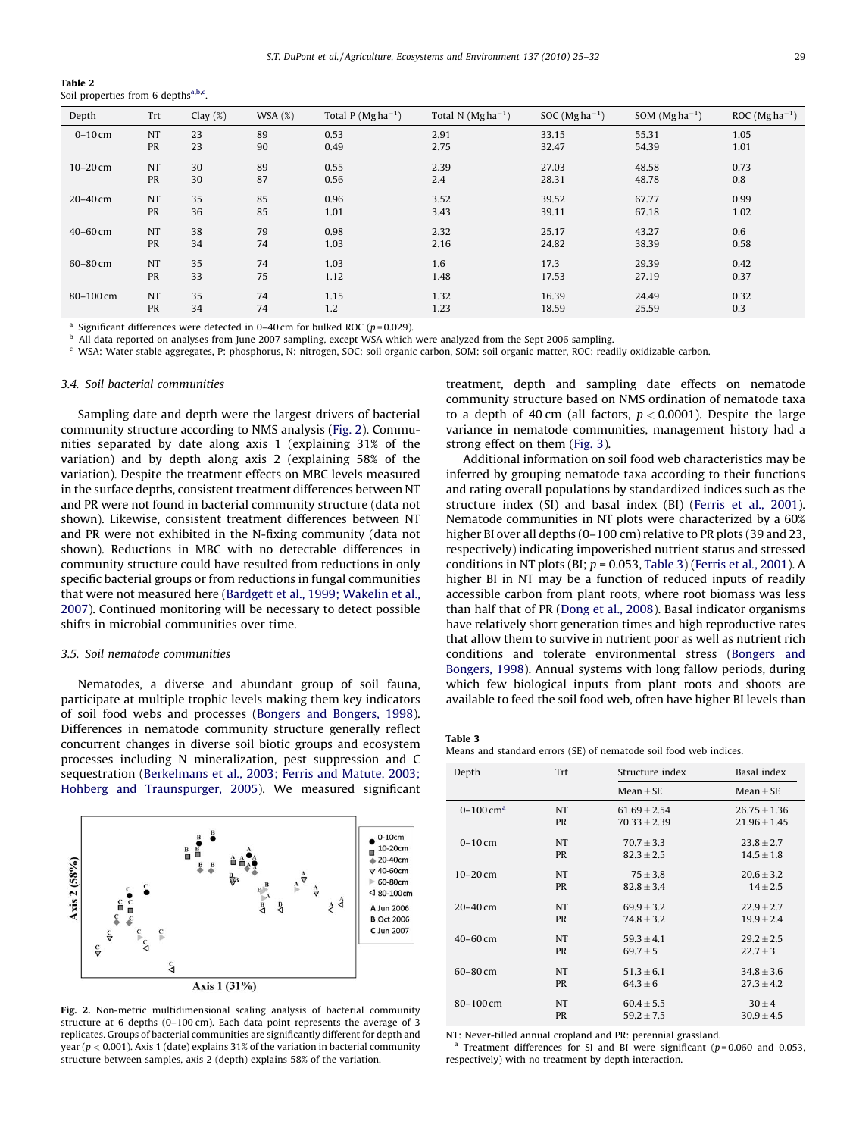<span id="page-4-0"></span>Table 2 Soil properties from 6 depths<sup>a,b,c</sup>.

| Depth        | Trt       | Clay $(\%)$ | WSA(%) | Total P ( $Mgha^{-1}$ ) | Total N $(Mgha^{-1})$ | SOC ( $Mgha^{-1}$ ) | SOM $(Mgha^{-1})$ | ROC ( $Mgha^{-1}$ ) |
|--------------|-----------|-------------|--------|-------------------------|-----------------------|---------------------|-------------------|---------------------|
| $0-10$ cm    | <b>NT</b> | 23          | 89     | 0.53                    | 2.91                  | 33.15               | 55.31             | 1.05                |
|              | <b>PR</b> | 23          | 90     | 0.49                    | 2.75                  | 32.47               | 54.39             | 1.01                |
| $10-20$ cm   | <b>NT</b> | 30          | 89     | 0.55                    | 2.39                  | 27.03               | 48.58             | 0.73                |
|              | <b>PR</b> | 30          | 87     | 0.56                    | 2.4                   | 28.31               | 48.78             | 0.8                 |
| $20 - 40$ cm | <b>NT</b> | 35          | 85     | 0.96                    | 3.52                  | 39.52               | 67.77             | 0.99                |
|              | <b>PR</b> | 36          | 85     | 1.01                    | 3.43                  | 39.11               | 67.18             | 1.02                |
| $40 - 60$ cm | <b>NT</b> | 38          | 79     | 0.98                    | 2.32                  | 25.17               | 43.27             | 0.6                 |
|              | <b>PR</b> | 34          | 74     | 1.03                    | 2.16                  | 24.82               | 38.39             | 0.58                |
| 60-80 cm     | <b>NT</b> | 35          | 74     | 1.03                    | 1.6                   | 17.3                | 29.39             | 0.42                |
|              | <b>PR</b> | 33          | 75     | 1.12                    | 1.48                  | 17.53               | 27.19             | 0.37                |
| 80-100 cm    | <b>NT</b> | 35          | 74     | 1.15                    | 1.32                  | 16.39               | 24.49             | 0.32                |
|              | <b>PR</b> | 34          | 74     | 1.2                     | 1.23                  | 18.59               | 25.59             | 0.3                 |

Significant differences were detected in  $0-40$  cm for bulked ROC (p=0.029).

<sup>b</sup> All data reported on analyses from June 2007 sampling, except WSA which were analyzed from the Sept 2006 sampling.<br>S WSA: Water stable aggregates B: phosphorus N: pitrogen SOC: soil organic carbon SOM: soil organic ma

<sup>c</sup> WSA: Water stable aggregates, P: phosphorus, N: nitrogen, SOC: soil organic carbon, SOM: soil organic matter, ROC: readily oxidizable carbon.

#### 3.4. Soil bacterial communities

Sampling date and depth were the largest drivers of bacterial community structure according to NMS analysis (Fig. 2). Communities separated by date along axis 1 (explaining 31% of the variation) and by depth along axis 2 (explaining 58% of the variation). Despite the treatment effects on MBC levels measured in the surface depths, consistent treatment differences between NT and PR were not found in bacterial community structure (data not shown). Likewise, consistent treatment differences between NT and PR were not exhibited in the N-fixing community (data not shown). Reductions in MBC with no detectable differences in community structure could have resulted from reductions in only specific bacterial groups or from reductions in fungal communities that were not measured here [\(Bardgett et al., 1999; Wakelin et al.,](#page-6-0) [2007\)](#page-6-0). Continued monitoring will be necessary to detect possible shifts in microbial communities over time.

#### 3.5. Soil nematode communities

Nematodes, a diverse and abundant group of soil fauna, participate at multiple trophic levels making them key indicators of soil food webs and processes [\(Bongers and Bongers, 1998\)](#page-6-0). Differences in nematode community structure generally reflect concurrent changes in diverse soil biotic groups and ecosystem processes including N mineralization, pest suppression and C sequestration (Berkelmans et al.[, 2003; Ferris and Matute, 2003;](#page-6-0) [Hohberg and Traunspurger, 2005](#page-6-0)). We measured significant



Fig. 2. Non-metric multidimensional scaling analysis of bacterial community structure at 6 depths (0–100 cm). Each data point represents the average of 3 replicates. Groups of bacterial communities are significantly different for depth and year ( $p < 0.001$ ). Axis 1 (date) explains 31% of the variation in bacterial community structure between samples, axis 2 (depth) explains 58% of the variation.

treatment, depth and sampling date effects on nematode community structure based on NMS ordination of nematode taxa to a depth of 40 cm (all factors,  $p < 0.0001$ ). Despite the large variance in nematode communities, management history had a strong effect on them ([Fig. 3\)](#page-5-0).

Additional information on soil food web characteristics may be inferred by grouping nematode taxa according to their functions and rating overall populations by standardized indices such as the structure index (SI) and basal index (BI) ([Ferris et al., 2001\)](#page-6-0). Nematode communities in NT plots were characterized by a 60% higher BI over all depths (0–100 cm) relative to PR plots (39 and 23, respectively) indicating impoverished nutrient status and stressed conditions in NT plots (BI;  $p = 0.053$ , Table 3) ([Ferris et al](#page-6-0)., 2001). A higher BI in NT may be a function of reduced inputs of readily accessible carbon from plant roots, where root biomass was less than half that of PR ([Dong et al., 2008\)](#page-6-0). Basal indicator organisms have relatively short generation times and high reproductive rates that allow them to survive in nutrient poor as well as nutrient rich conditions and tolerate environmental stress ([Bongers and](#page-6-0) [Bongers, 1998](#page-6-0)). Annual systems with long fallow periods, during which few biological inputs from plant roots and shoots are available to feed the soil food web, often have higher BI levels than

Means and standard errors (SE) of nematode soil food web indices.

| Depth                     | Trt       | Structure index  | Basal index      |  |
|---------------------------|-----------|------------------|------------------|--|
|                           |           | $Mean + SE$      | $Mean \pm SE$    |  |
| $0 - 100$ cm <sup>a</sup> | <b>NT</b> | $61.69 \pm 2.54$ | $26.75 \pm 1.36$ |  |
|                           | <b>PR</b> | $70.33 \pm 2.39$ | $21.96 \pm 1.45$ |  |
| $0 - 10$ cm               | NT        | $70.7 \pm 3.3$   | $23.8 \pm 2.7$   |  |
|                           | <b>PR</b> | $82.3 \pm 2.5$   | $14.5 \pm 1.8$   |  |
| $10 - 20$ cm              | NT        | $75 \pm 3.8$     | $20.6 \pm 3.2$   |  |
|                           | <b>PR</b> | $82.8 \pm 3.4$   | $14 \pm 2.5$     |  |
| $20 - 40$ cm              | <b>NT</b> | $69.9 \pm 3.2$   | $22.9 \pm 2.7$   |  |
|                           | <b>PR</b> | $74.8 \pm 3.2$   | $19.9 \pm 2.4$   |  |
| $40 - 60$ cm              | <b>NT</b> | $59.3 + 4.1$     | $29.2 + 2.5$     |  |
|                           | <b>PR</b> | $69.7 \pm 5$     | $22.7 \pm 3$     |  |
| $60 - 80$ cm              | NT        | $51.3 \pm 6.1$   | $34.8 \pm 3.6$   |  |
|                           | <b>PR</b> | $64.3 + 6$       | $27.3 + 4.2$     |  |
| 80-100 cm                 | NT        | $60.4 \pm 5.5$   | $30 \pm 4$       |  |
|                           | <b>PR</b> | $59.2 \pm 7.5$   | $30.9 \pm 4.5$   |  |

NT: Never-tilled annual cropland and PR: perennial grassland.

<sup>a</sup> Treatment differences for SI and BI were significant ( $p = 0.060$  and 0.053, respectively) with no treatment by depth interaction.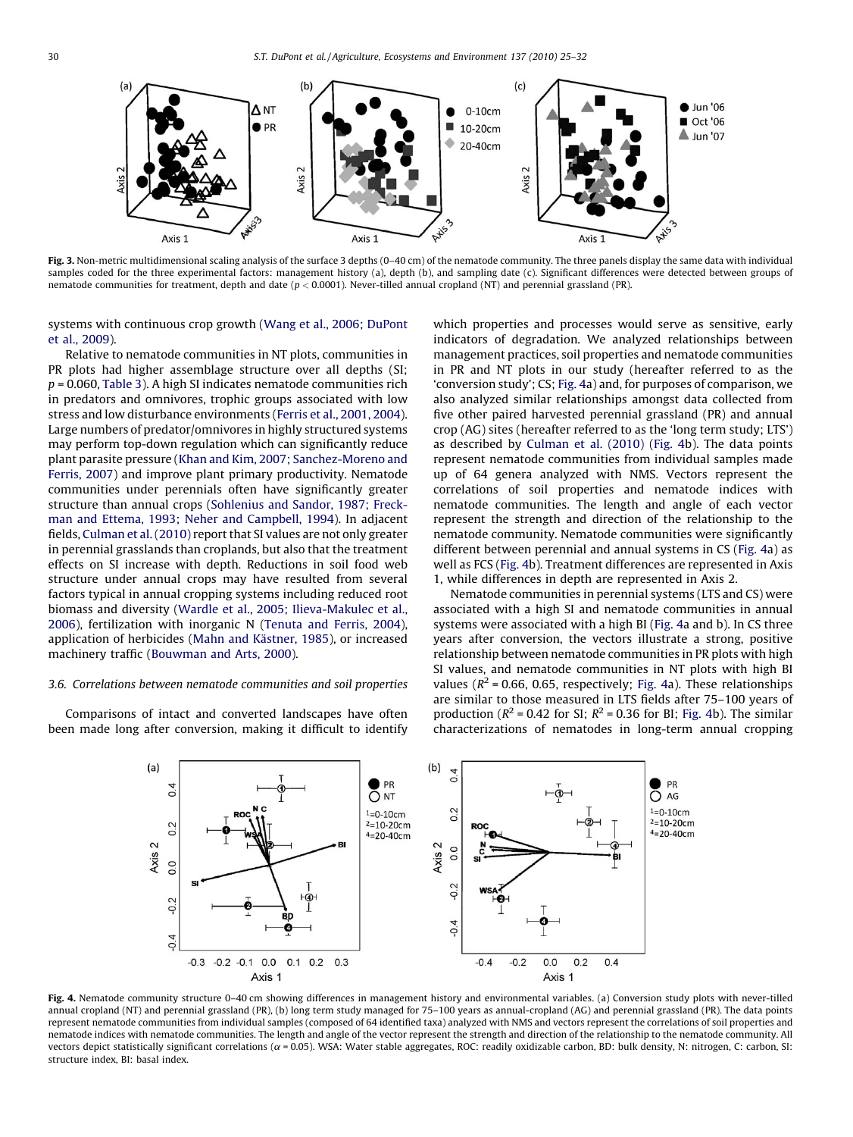<span id="page-5-0"></span>

Fig. 3. Non-metric multidimensional scaling analysis of the surface 3 depths (0-40 cm) of the nematode community. The three panels display the same data with individual samples coded for the three experimental factors: management history (a), depth (b), and sampling date (c). Significant differences were detected between groups of nematode communities for treatment, depth and date ( $p < 0.0001$ ). Never-tilled annual cropland (NT) and perennial grassland (PR).

systems with continuous crop growth [\(Wang et al., 2006; DuPont](#page-7-0) [et al., 2009](#page-7-0)).

Relative to nematode communities in NT plots, communities in PR plots had higher assemblage structure over all depths (SI;  $p = 0.060$ , [Table 3](#page-4-0)). A high SI indicates nematode communities rich in predators and omnivores, trophic groups associated with low stress and low disturbance environments [\(Ferris et al., 2001, 2004\)](#page-6-0). Large numbers of predator/omnivores in highly structured systems may perform top-down regulation which can significantly reduce plant parasite pressure ([Khan and Kim, 2007; Sanchez-Moreno and](#page-7-0) [Ferris, 2007](#page-7-0)) and improve plant primary productivity. Nematode communities under perennials often have significantly greater structure than annual crops [\(Sohlenius and Sandor, 1987; Freck](#page-7-0)[man and Ettema, 1993; Neher and Campbell, 1994](#page-7-0)). In adjacent fields, [Culman et al. \(2010\)](#page-6-0) report that SI values are not only greater in perennial grasslands than croplands, but also that the treatment effects on SI increase with depth. Reductions in soil food web structure under annual crops may have resulted from several factors typical in annual cropping systems including reduced root biomass and diversity ([Wardle et al., 2005; Ilieva-Makulec et al.,](#page-7-0) [2006\)](#page-7-0), fertilization with inorganic N ([Tenuta and Ferris, 2004\)](#page-7-0), application of herbicides (Mahn and Kästner, 1985), or increased machinery traffic ([Bouwman and Arts, 2000](#page-6-0)).

## 3.6. Correlations between nematode communities and soil properties

Comparisons of intact and converted landscapes have often been made long after conversion, making it difficult to identify which properties and processes would serve as sensitive, early indicators of degradation. We analyzed relationships between management practices, soil properties and nematode communities in PR and NT plots in our study (hereafter referred to as the 'conversion study'; CS; Fig. 4a) and, for purposes of comparison, we also analyzed similar relationships amongst data collected from five other paired harvested perennial grassland (PR) and annual crop (AG) sites (hereafter referred to as the 'long term study; LTS') as described by [Culman et al. \(2010\)](#page-6-0) (Fig. 4b). The data points represent nematode communities from individual samples made up of 64 genera analyzed with NMS. Vectors represent the correlations of soil properties and nematode indices with nematode communities. The length and angle of each vector represent the strength and direction of the relationship to the nematode community. Nematode communities were significantly different between perennial and annual systems in CS (Fig. 4a) as well as FCS (Fig. 4b). Treatment differences are represented in Axis 1, while differences in depth are represented in Axis 2.

Nematode communities in perennial systems (LTS and CS) were associated with a high SI and nematode communities in annual systems were associated with a high BI (Fig. 4a and b). In CS three years after conversion, the vectors illustrate a strong, positive relationship between nematode communities in PR plots with high SI values, and nematode communities in NT plots with high BI values ( $R^2$  = 0.66, 0.65, respectively; Fig. 4a). These relationships are similar to those measured in LTS fields after 75–100 years of production ( $R^2$  = 0.42 for SI;  $R^2$  = 0.36 for BI; Fig. 4b). The similar characterizations of nematodes in long-term annual cropping



Fig. 4. Nematode community structure 0-40 cm showing differences in management history and environmental variables. (a) Conversion study plots with never-tilled annual cropland (NT) and perennial grassland (PR), (b) long term study managed for 75–100 years as annual-cropland (AG) and perennial grassland (PR). The data points represent nematode communities from individual samples (composed of 64 identified taxa) analyzed with NMS and vectors represent the correlations of soil properties and nematode indices with nematode communities. The length and angle of the vector represent the strength and direction of the relationship to the nematode community. All vectors depict statistically significant correlations ( $\alpha$  = 0.05). WSA: Water stable aggregates, ROC: readily oxidizable carbon, BD: bulk density, N: nitrogen, C: carbon, SI: structure index, BI: basal index.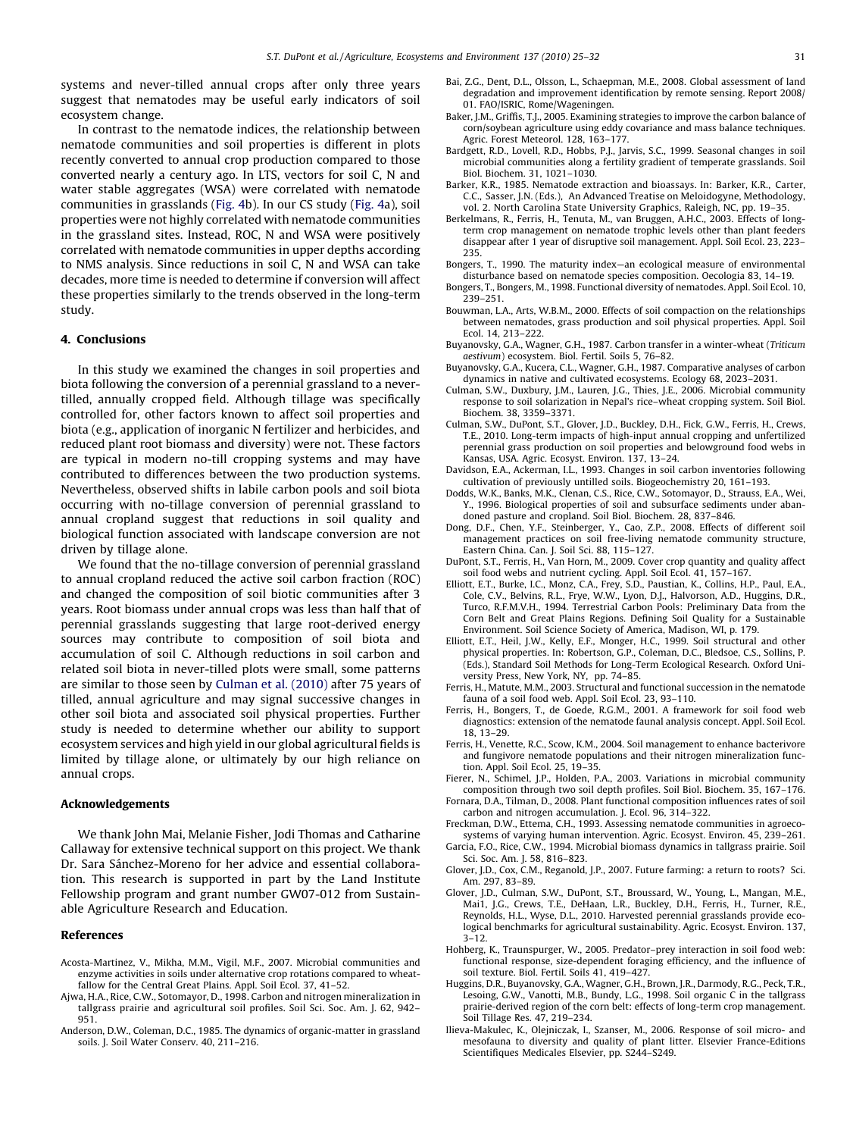<span id="page-6-0"></span>systems and never-tilled annual crops after only three years suggest that nematodes may be useful early indicators of soil ecosystem change.

In contrast to the nematode indices, the relationship between nematode communities and soil properties is different in plots recently converted to annual crop production compared to those converted nearly a century ago. In LTS, vectors for soil C, N and water stable aggregates (WSA) were correlated with nematode communities in grasslands ([Fig. 4](#page-5-0)b). In our CS study ([Fig. 4](#page-5-0)a), soil properties were not highly correlated with nematode communities in the grassland sites. Instead, ROC, N and WSA were positively correlated with nematode communities in upper depths according to NMS analysis. Since reductions in soil C, N and WSA can take decades, more time is needed to determine if conversion will affect these properties similarly to the trends observed in the long-term study.

## 4. Conclusions

In this study we examined the changes in soil properties and biota following the conversion of a perennial grassland to a nevertilled, annually cropped field. Although tillage was specifically controlled for, other factors known to affect soil properties and biota (e.g., application of inorganic N fertilizer and herbicides, and reduced plant root biomass and diversity) were not. These factors are typical in modern no-till cropping systems and may have contributed to differences between the two production systems. Nevertheless, observed shifts in labile carbon pools and soil biota occurring with no-tillage conversion of perennial grassland to annual cropland suggest that reductions in soil quality and biological function associated with landscape conversion are not driven by tillage alone.

We found that the no-tillage conversion of perennial grassland to annual cropland reduced the active soil carbon fraction (ROC) and changed the composition of soil biotic communities after 3 years. Root biomass under annual crops was less than half that of perennial grasslands suggesting that large root-derived energy sources may contribute to composition of soil biota and accumulation of soil C. Although reductions in soil carbon and related soil biota in never-tilled plots were small, some patterns are similar to those seen by Culman et al. (2010) after 75 years of tilled, annual agriculture and may signal successive changes in other soil biota and associated soil physical properties. Further study is needed to determine whether our ability to support ecosystem services and high yield in our global agricultural fields is limited by tillage alone, or ultimately by our high reliance on annual crops.

## Acknowledgements

We thank John Mai, Melanie Fisher, Jodi Thomas and Catharine Callaway for extensive technical support on this project. We thank Dr. Sara Sánchez-Moreno for her advice and essential collaboration. This research is supported in part by the Land Institute Fellowship program and grant number GW07-012 from Sustainable Agriculture Research and Education.

#### References

- Acosta-Martinez, V., Mikha, M.M., Vigil, M.F., 2007. Microbial communities and enzyme activities in soils under alternative crop rotations compared to wheatfallow for the Central Great Plains. Appl. Soil Ecol. 37, 41–52.
- Ajwa, H.A., Rice, C.W., Sotomayor, D., 1998. Carbon and nitrogen mineralization in tallgrass prairie and agricultural soil profiles. Soil Sci. Soc. Am. J. 62, 942– 951.
- Anderson, D.W., Coleman, D.C., 1985. The dynamics of organic-matter in grassland soils. J. Soil Water Conserv. 40, 211–216.
- Bai, Z.G., Dent, D.L., Olsson, L., Schaepman, M.E., 2008. Global assessment of land degradation and improvement identification by remote sensing. Report 2008/ 01. FAO/ISRIC, Rome/Wageningen.
- Baker, J.M., Griffis, T.J., 2005. Examining strategies to improve the carbon balance of corn/soybean agriculture using eddy covariance and mass balance techniques. Agric. Forest Meteorol. 128, 163–177.
- Bardgett, R.D., Lovell, R.D., Hobbs, P.J., Jarvis, S.C., 1999. Seasonal changes in soil microbial communities along a fertility gradient of temperate grasslands. Soil Biol. Biochem. 31, 1021–1030.
- Barker, K.R., 1985. Nematode extraction and bioassays. In: Barker, K.R., Carter, C.C., Sasser, J.N. (Eds.), An Advanced Treatise on Meloidogyne, Methodology, vol. 2. North Carolina State University Graphics, Raleigh, NC, pp. 19–35.
- Berkelmans, R., Ferris, H., Tenuta, M., van Bruggen, A.H.C., 2003. Effects of longterm crop management on nematode trophic levels other than plant feeders disappear after 1 year of disruptive soil management. Appl. Soil Ecol. 23, 223– 235.
- Bongers, T., 1990. The maturity index—an ecological measure of environmental disturbance based on nematode species composition. Oecologia 83, 14–19.
- Bongers, T., Bongers, M., 1998. Functional diversity of nematodes. Appl. Soil Ecol. 10, 239–251.
- Bouwman, L.A., Arts, W.B.M., 2000. Effects of soil compaction on the relationships between nematodes, grass production and soil physical properties. Appl. Soil Ecol. 14, 213–222.
- Buyanovsky, G.A., Wagner, G.H., 1987. Carbon transfer in a winter-wheat (Triticum aestivum) ecosystem. Biol. Fertil. Soils 5, 76–82.
- Buyanovsky, G.A., Kucera, C.L., Wagner, G.H., 1987. Comparative analyses of carbon dynamics in native and cultivated ecosystems. Ecology 68, 2023–2031.
- Culman, S.W., Duxbury, J.M., Lauren, J.G., Thies, J.E., 2006. Microbial community response to soil solarization in Nepal's rice–wheat cropping system. Soil Biol. Biochem. 38, 3359–3371.
- Culman, S.W., DuPont, S.T., Glover, J.D., Buckley, D.H., Fick, G.W., Ferris, H., Crews, T.E., 2010. Long-term impacts of high-input annual cropping and unfertilized perennial grass production on soil properties and belowground food webs in Kansas, USA. Agric. Ecosyst. Environ. 137, 13–24.
- Davidson, E.A., Ackerman, I.L., 1993. Changes in soil carbon inventories following cultivation of previously untilled soils. Biogeochemistry 20, 161–193.
- Dodds, W.K., Banks, M.K., Clenan, C.S., Rice, C.W., Sotomayor, D., Strauss, E.A., Wei, Y., 1996. Biological properties of soil and subsurface sediments under abandoned pasture and cropland. Soil Biol. Biochem. 28, 837–846.
- Dong, D.F., Chen, Y.F., Steinberger, Y., Cao, Z.P., 2008. Effects of different soil management practices on soil free-living nematode community structure,
- Eastern China. Can. J. Soil Sci. 88, 115–127. DuPont, S.T., Ferris, H., Van Horn, M., 2009. Cover crop quantity and quality affect soil food webs and nutrient cycling. Appl. Soil Ecol. 41, 157–167.
- Elliott, E.T., Burke, I.C., Monz, C.A., Frey, S.D., Paustian, K., Collins, H.P., Paul, E.A., Cole, C.V., Belvins, R.L., Frye, W.W., Lyon, D.J., Halvorson, A.D., Huggins, D.R., Turco, R.F.M.V.H., 1994. Terrestrial Carbon Pools: Preliminary Data from the Corn Belt and Great Plains Regions. Defining Soil Quality for a Sustainable Environment. Soil Science Society of America, Madison, WI, p. 179.
- Elliott, E.T., Heil, J.W., Kelly, E.F., Monger, H.C., 1999. Soil structural and other physical properties. In: Robertson, G.P., Coleman, D.C., Bledsoe, C.S., Sollins, P. (Eds.), Standard Soil Methods for Long-Term Ecological Research. Oxford University Press, New York, NY, pp. 74–85.
- Ferris, H., Matute, M.M., 2003. Structural and functional succession in the nematode fauna of a soil food web. Appl. Soil Ecol. 23, 93–110.
- Ferris, H., Bongers, T., de Goede, R.G.M., 2001. A framework for soil food web diagnostics: extension of the nematode faunal analysis concept. Appl. Soil Ecol. 18, 13–29.
- Ferris, H., Venette, R.C., Scow, K.M., 2004. Soil management to enhance bacterivore and fungivore nematode populations and their nitrogen mineralization function. Appl. Soil Ecol. 25, 19–35.
- Fierer, N., Schimel, J.P., Holden, P.A., 2003. Variations in microbial community composition through two soil depth profiles. Soil Biol. Biochem. 35, 167–176.
- Fornara, D.A., Tilman, D., 2008. Plant functional composition influences rates of soil carbon and nitrogen accumulation. J. Ecol. 96, 314–322.
- Freckman, D.W., Ettema, C.H., 1993. Assessing nematode communities in agroecosystems of varying human intervention. Agric. Ecosyst. Environ. 45, 239–261.
- Garcia, F.O., Rice, C.W., 1994. Microbial biomass dynamics in tallgrass prairie. Soil Sci. Soc. Am. J. 58, 816–823.
- Glover, J.D., Cox, C.M., Reganold, J.P., 2007. Future farming: a return to roots? Sci. Am. 297, 83–89.
- Glover, J.D., Culman, S.W., DuPont, S.T., Broussard, W., Young, L., Mangan, M.E., Mai1, J.G., Crews, T.E., DeHaan, L.R., Buckley, D.H., Ferris, H., Turner, R.E., Reynolds, H.L., Wyse, D.L., 2010. Harvested perennial grasslands provide ecological benchmarks for agricultural sustainability. Agric. Ecosyst. Environ. 137, 3–12.
- Hohberg, K., Traunspurger, W., 2005. Predator–prey interaction in soil food web: functional response, size-dependent foraging efficiency, and the influence of soil texture. Biol. Fertil. Soils 41, 419–427.
- Huggins, D.R., Buyanovsky, G.A., Wagner, G.H., Brown, J.R., Darmody, R.G., Peck, T.R., Lesoing, G.W., Vanotti, M.B., Bundy, L.G., 1998. Soil organic C in the tallgrass prairie-derived region of the corn belt: effects of long-term crop management. Soil Tillage Res. 47, 219–234.
- Ilieva-Makulec, K., Olejniczak, I., Szanser, M., 2006. Response of soil micro- and mesofauna to diversity and quality of plant litter. Elsevier France-Editions Scientifiques Medicales Elsevier, pp. S244–S249.